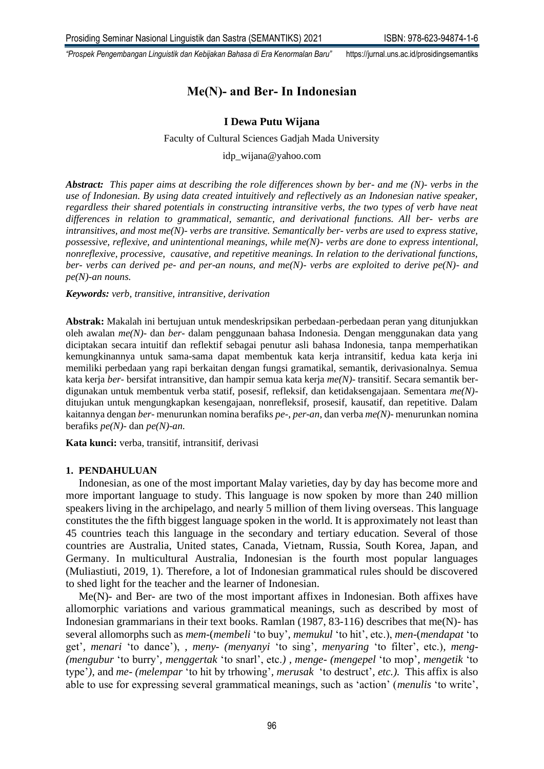# **Me(N)- and Ber- In Indonesian**

### **I Dewa Putu Wijana**

#### Faculty of Cultural Sciences Gadjah Mada University

idp\_wijana@yahoo.com

*Abstract: This paper aims at describing the role differences shown by ber- and me (N)- verbs in the use of Indonesian. By using data created intuitively and reflectively as an Indonesian native speaker, regardless their shared potentials in constructing intransitive verbs, the two types of verb have neat differences in relation to grammatical, semantic, and derivational functions. All ber- verbs are intransitives, and most me(N)- verbs are transitive. Semantically ber- verbs are used to express stative, possessive, reflexive, and unintentional meanings, while me(N)- verbs are done to express intentional, nonreflexive, processive, causative, and repetitive meanings. In relation to the derivational functions, ber- verbs can derived pe- and per-an nouns, and me(N)- verbs are exploited to derive pe(N)- and pe(N)-an nouns.*

#### *Keywords: verb, transitive, intransitive, derivation*

**Abstrak:** Makalah ini bertujuan untuk mendeskripsikan perbedaan-perbedaan peran yang ditunjukkan oleh awalan *me(N)-* dan *ber-* dalam penggunaan bahasa Indonesia. Dengan menggunakan data yang diciptakan secara intuitif dan reflektif sebagai penutur asli bahasa Indonesia, tanpa memperhatikan kemungkinannya untuk sama-sama dapat membentuk kata kerja intransitif, kedua kata kerja ini memiliki perbedaan yang rapi berkaitan dengan fungsi gramatikal, semantik, derivasionalnya. Semua kata kerja *ber-* bersifat intransitive, dan hampir semua kata kerja *me(N)-* transitif. Secara semantik berdigunakan untuk membentuk verba statif, posesif, refleksif, dan ketidaksengajaan. Sementara *me(N)* ditujukan untuk mengungkapkan kesengajaan, nonrefleksif, prosesif, kausatif, dan repetitive. Dalam kaitannya dengan *ber-* menurunkan nomina berafiks *pe-, per-an,* dan verba *me(N)-* menurunkan nomina berafiks *pe(N)-* dan *pe(N)-an.*

**Kata kunci:** verba, transitif, intransitif, derivasi

#### **1. PENDAHULUAN**

Indonesian, as one of the most important Malay varieties, day by day has become more and more important language to study. This language is now spoken by more than 240 million speakers living in the archipelago, and nearly 5 million of them living overseas. This language constitutes the the fifth biggest language spoken in the world. It is approximately not least than 45 countries teach this language in the secondary and tertiary education. Several of those countries are Australia, United states, Canada, Vietnam, Russia, South Korea, Japan, and Germany. In multicultural Australia, Indonesian is the fourth most popular languages (Muliastiuti, 2019, 1). Therefore, a lot of Indonesian grammatical rules should be discovered to shed light for the teacher and the learner of Indonesian.

Me(N)- and Ber- are two of the most important affixes in Indonesian. Both affixes have allomorphic variations and various grammatical meanings, such as described by most of Indonesian grammarians in their text books. Ramlan (1987, 83-116) describes that me(N)- has several allomorphs such as *mem-*(*membeli* 'to buy'*, memukul* 'to hit', etc.), *men-*(*mendapat* 'to get'*, menari* 'to dance'), *, meny- (menyanyi* 'to sing'*, menyaring* 'to filter', etc.)*, meng- (mengubur* 'to burry'*, menggertak* 'to snarl', etc.*) , menge- (mengepel* 'to mop'*, mengetik* 'to type'*),* and *me- (melempar* 'to hit by trhowing'*, merusak* 'to destruct'*, etc.).* This affix is also able to use for expressing several grammatical meanings, such as 'action' (*menulis* 'to write',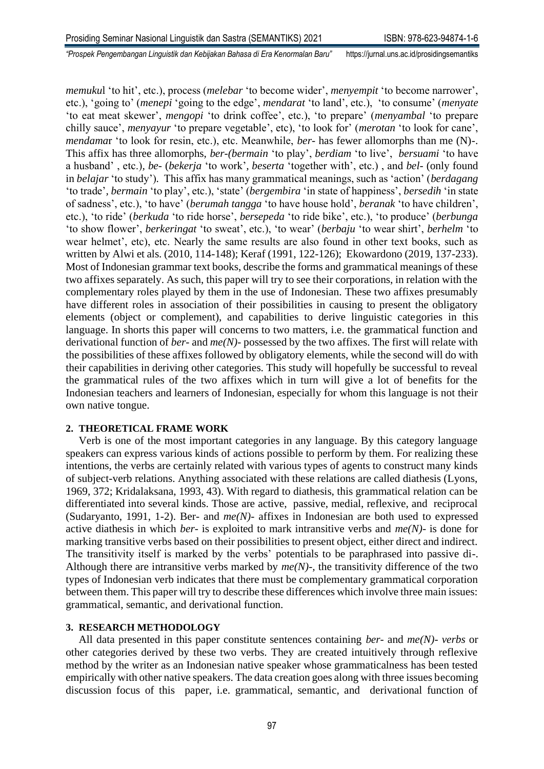*memuku*l 'to hit', etc.), process (*melebar* 'to become wider', *menyempit* 'to become narrower', etc.), 'going to' (*menepi* 'going to the edge', *mendarat* 'to land', etc.), 'to consume' (*menyate*  'to eat meat skewer', *mengopi* 'to drink coffee', etc.), 'to prepare' (*menyambal* 'to prepare chilly sauce', *menyayur* 'to prepare vegetable', etc), 'to look for' (*merotan* 'to look for cane', *mendama*r 'to look for resin, etc.), etc. Meanwhile, *ber-* has fewer allomorphs than me (N)-. This affix has three allomorphs, *ber-(bermain* 'to play', *berdiam* 'to live', *bersuami* 'to have a husband' , etc.)*, be-* (*bekerja* 'to work'*, beserta* 'together with', etc.) , and *bel-* (only found in *belajar* 'to study')*.* This affix has many grammatical meanings, such as 'action' (*berdagang*  'to trade'*, bermain* 'to play', etc.), 'state' (*bergembira* 'in state of happiness', *bersedih* 'in state of sadness', etc.), 'to have' (*berumah tangga* 'to have house hold', *beranak* 'to have children', etc.), 'to ride' (*berkuda* 'to ride horse', *bersepeda* 'to ride bike', etc.), 'to produce' (*berbunga* 'to show flower', *berkeringat* 'to sweat', etc.), 'to wear' (*berbaju* 'to wear shirt', *berhelm* 'to wear helmet', etc), etc. Nearly the same results are also found in other text books, such as written by Alwi et als. (2010, 114-148); Keraf (1991, 122-126); Ekowardono (2019, 137-233). Most of Indonesian grammar text books, describe the forms and grammatical meanings of these two affixes separately. As such, this paper will try to see their corporations, in relation with the complementary roles played by them in the use of Indonesian. These two affixes presumably have different roles in association of their possibilities in causing to present the obligatory elements (object or complement), and capabilities to derive linguistic categories in this language. In shorts this paper will concerns to two matters, i.e. the grammatical function and derivational function of *ber-* and *me(N)-* possessed by the two affixes. The first will relate with the possibilities of these affixes followed by obligatory elements, while the second will do with their capabilities in deriving other categories. This study will hopefully be successful to reveal the grammatical rules of the two affixes which in turn will give a lot of benefits for the Indonesian teachers and learners of Indonesian, especially for whom this language is not their own native tongue.

#### **2. THEORETICAL FRAME WORK**

Verb is one of the most important categories in any language. By this category language speakers can express various kinds of actions possible to perform by them. For realizing these intentions, the verbs are certainly related with various types of agents to construct many kinds of subject-verb relations. Anything associated with these relations are called diathesis (Lyons, 1969, 372; Kridalaksana, 1993, 43). With regard to diathesis, this grammatical relation can be differentiated into several kinds. Those are active, passive, medial, reflexive, and reciprocal (Sudaryanto, 1991, 1-2). Ber- and *me(N)-* affixes in Indonesian are both used to expressed active diathesis in which *ber-* is exploited to mark intransitive verbs and *me(N)-* is done for marking transitive verbs based on their possibilities to present object, either direct and indirect. The transitivity itself is marked by the verbs' potentials to be paraphrased into passive di-. Although there are intransitive verbs marked by  $me(N)$ -, the transitivity difference of the two types of Indonesian verb indicates that there must be complementary grammatical corporation between them. This paper will try to describe these differences which involve three main issues: grammatical, semantic, and derivational function.

#### **3. RESEARCH METHODOLOGY**

All data presented in this paper constitute sentences containing *ber-* and *me(N)- verbs* or other categories derived by these two verbs. They are created intuitively through reflexive method by the writer as an Indonesian native speaker whose grammaticalness has been tested empirically with other native speakers. The data creation goes along with three issues becoming discussion focus of this paper, i.e. grammatical, semantic, and derivational function of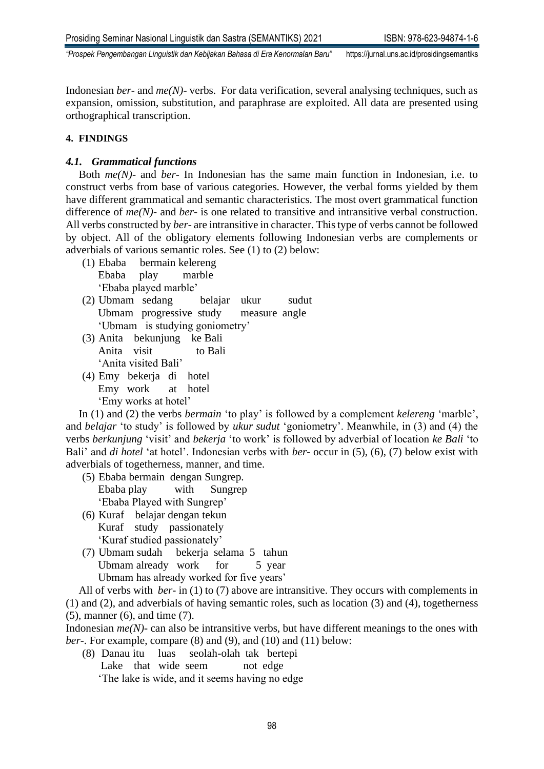Indonesian *ber-* and *me(N)-* verbs. For data verification, several analysing techniques, such as expansion, omission, substitution, and paraphrase are exploited. All data are presented using orthographical transcription.

# **4. FINDINGS**

# *4.1. Grammatical functions*

Both *me(N)-* and *ber-* In Indonesian has the same main function in Indonesian, i.e. to construct verbs from base of various categories. However, the verbal forms yielded by them have different grammatical and semantic characteristics. The most overt grammatical function difference of *me(N)-* and *ber-* is one related to transitive and intransitive verbal construction. All verbs constructed by *ber-* are intransitive in character. This type of verbs cannot be followed by object. All of the obligatory elements following Indonesian verbs are complements or adverbials of various semantic roles. See (1) to (2) below:

- (1) Ebaba bermain kelereng Ebaba play marble 'Ebaba played marble'
- (2) Ubmam sedang belajar ukur sudut Ubmam progressive study measure angle 'Ubmam is studying goniometry'
- (3) Anita bekunjung ke Bali Anita visit to Bali 'Anita visited Bali'
- (4) Emy bekerja di hotel Emy work at hotel 'Emy works at hotel'

In (1) and (2) the verbs *bermain* 'to play' is followed by a complement *kelereng* 'marble', and *belajar* 'to study' is followed by *ukur sudut* 'goniometry'. Meanwhile, in (3) and (4) the verbs *berkunjung* 'visit' and *bekerja* 'to work' is followed by adverbial of location *ke Bali* 'to Bali' and *di hotel* 'at hotel'. Indonesian verbs with *ber-* occur in (5), (6), (7) below exist with adverbials of togetherness, manner, and time.

- (5) Ebaba bermain dengan Sungrep. Ebaba play with Sungrep 'Ebaba Played with Sungrep'
- (6) Kuraf belajar dengan tekun Kuraf study passionately 'Kuraf studied passionately'
- (7) Ubmam sudah bekerja selama 5 tahun Ubmam already work for 5 year Ubmam has already worked for five years'

All of verbs with *ber-* in (1) to (7) above are intransitive. They occurs with complements in (1) and (2), and adverbials of having semantic roles, such as location (3) and (4), togetherness (5), manner (6), and time (7).

Indonesian *me(N)-* can also be intransitive verbs, but have different meanings to the ones with *ber*-. For example, compare (8) and (9), and (10) and (11) below:

- (8) Danau itu luas seolah-olah tak bertepi
	- Lake that wide seem not edge

'The lake is wide, and it seems having no edge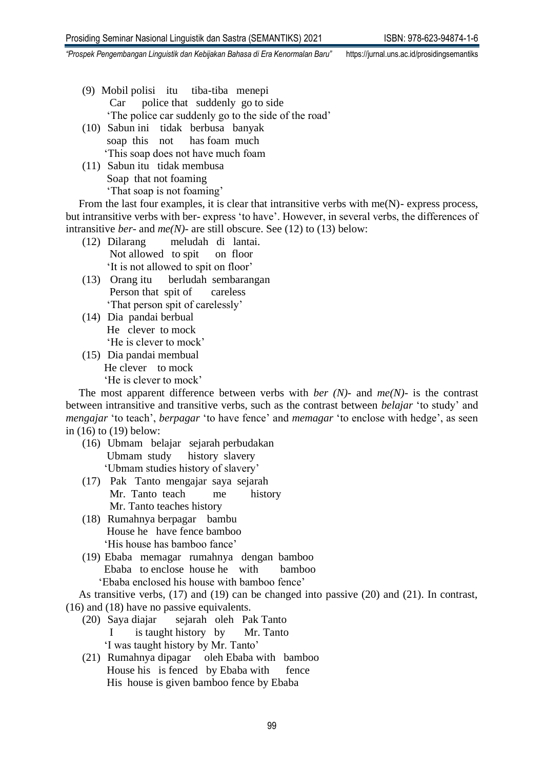- (9) Mobil polisi itu tiba-tiba menepi Car police that suddenly go to side 'The police car suddenly go to the side of the road'
- (10) Sabun ini tidak berbusa banyak soap this not has foam much 'This soap does not have much foam
- (11) Sabun itu tidak membusa Soap that not foaming 'That soap is not foaming'

From the last four examples, it is clear that intransitive verbs with me(N)- express process, but intransitive verbs with ber- express 'to have'. However, in several verbs, the differences of intransitive *ber-* and *me(N)-* are still obscure. See (12) to (13) below:

- (12) Dilarang meludah di lantai. Not allowed to spit on floor 'It is not allowed to spit on floor'
- (13) Orang itu berludah sembarangan Person that spit of careless 'That person spit of carelessly'
- (14) Dia pandai berbual He clever to mock 'He is clever to mock'
- (15) Dia pandai membual He clever to mock 'He is clever to mock'

The most apparent difference between verbs with *ber (N)-* and *me(N)-* is the contrast between intransitive and transitive verbs, such as the contrast between *belajar* 'to study' and *mengajar* 'to teach', *berpagar* 'to have fence' and *memagar* 'to enclose with hedge', as seen in (16) to (19) below:

- (16) Ubmam belajar sejarah perbudakan Ubmam study history slavery 'Ubmam studies history of slavery'
- (17) Pak Tanto mengajar saya sejarah Mr. Tanto teach me history Mr. Tanto teaches history
- (18) Rumahnya berpagar bambu House he have fence bamboo 'His house has bamboo fance'
- (19) Ebaba memagar rumahnya dengan bamboo Ebaba to enclose house he with bamboo 'Ebaba enclosed his house with bamboo fence'

As transitive verbs, (17) and (19) can be changed into passive (20) and (21). In contrast, (16) and (18) have no passive equivalents.

- (20) Saya diajar sejarah oleh Pak Tanto I is taught history by Mr. Tanto 'I was taught history by Mr. Tanto'
- (21) Rumahnya dipagar oleh Ebaba with bamboo House his is fenced by Ebaba with fence His house is given bamboo fence by Ebaba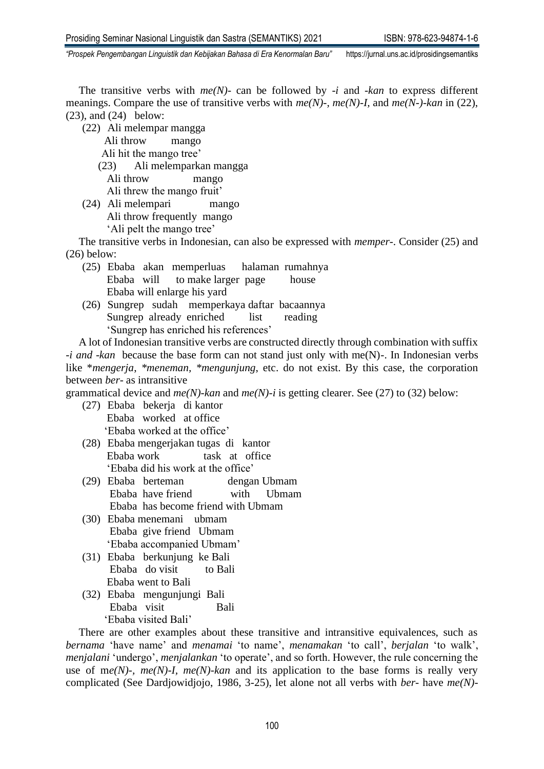The transitive verbs with *me(N)-* can be followed by *-i* and *-kan* to express different meanings. Compare the use of transitive verbs with *me(N)-, me(N)-I,* and *me(N-)-kan* in (22), (23), and (24) below:

(22) Ali melempar mangga

Ali throw mango

- Ali hit the mango tree'
- (23) Ali melemparkan mangga Ali throw mango Ali threw the mango fruit'
- (24) Ali melempari mango Ali throw frequently mango 'Ali pelt the mango tree'

The transitive verbs in Indonesian, can also be expressed with *memper*-. Consider (25) and (26) below:

- (25) Ebaba akan memperluas halaman rumahnya Ebaba will to make larger page house Ebaba will enlarge his yard
- (26) Sungrep sudah memperkaya daftar bacaannya Sungrep already enriched list reading 'Sungrep has enriched his references'

A lot of Indonesian transitive verbs are constructed directly through combination with suffix *-i and -kan* because the base form can not stand just only with me(N)-. In Indonesian verbs like \**mengerja*, *\*meneman, \*mengunjung*, etc. do not exist. By this case, the corporation between *ber-* as intransitive

grammatical device and *me(N)-kan* and *me(N)-i* is getting clearer. See (27) to (32) below:

- (27) Ebaba bekerja di kantor Ebaba worked at office 'Ebaba worked at the office'
- (28) Ebaba mengerjakan tugas di kantor Ebaba work task at office 'Ebaba did his work at the office'
- (29) Ebaba berteman dengan Ubmam Ebaba have friend with Ubmam Ebaba has become friend with Ubmam
- (30) Ebaba menemani ubmam Ebaba give friend Ubmam 'Ebaba accompanied Ubmam'
- (31) Ebaba berkunjung ke Bali Ebaba do visit to Bali Ebaba went to Bali
- (32) Ebaba mengunjungi Bali Ebaba visit Bali 'Ebaba visited Bali'

There are other examples about these transitive and intransitive equivalences, such as *bernama* 'have name' and *menamai* 'to name', *menamakan* 'to call', *berjalan* 'to walk', *menjalani* 'undergo', *menjalankan* 'to operate', and so forth. However, the rule concerning the use of m*e(N)-, me(N)-I, me(N)-kan* and its application to the base forms is really very complicated (See Dardjowidjojo, 1986, 3-25), let alone not all verbs with *ber-* have *me(N)-*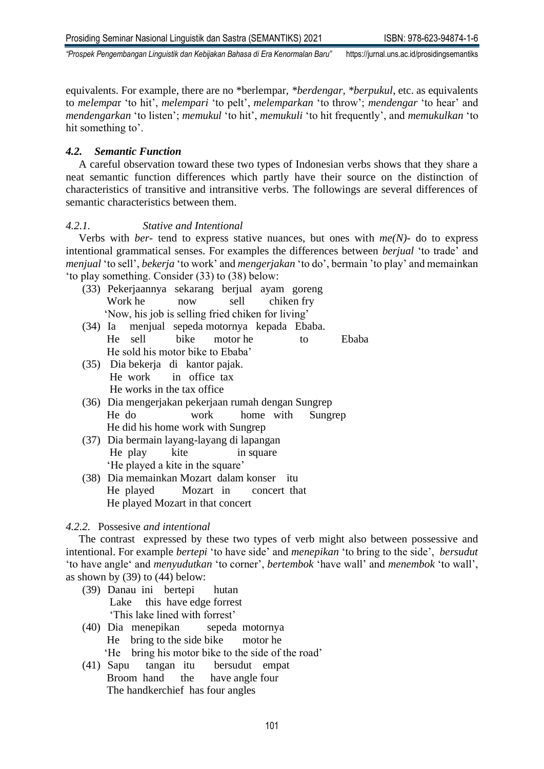equivalents. For example, there are no \*berlempar, *\*berdengar, \*berpukul*, etc. as equivalents to *melempa*r 'to hit', *melempari* 'to pelt', *melemparkan* 'to throw'; *mendengar* 'to hear' and *mendengarkan* 'to listen'; *memukul* 'to hit', *memukuli* 'to hit frequently', and *memukulkan* 'to hit something to'.

### *4.2. Semantic Function*

A careful observation toward these two types of Indonesian verbs shows that they share a neat semantic function differences which partly have their source on the distinction of characteristics of transitive and intransitive verbs. The followings are several differences of semantic characteristics between them.

# *4.2.1. Stative and Intentional*

Verbs with *ber-* tend to express stative nuances, but ones with *me(N)-* do to express intentional grammatical senses. For examples the differences between *berjual* 'to trade' and *menjual* 'to sell', *bekerja* 'to work' and *mengerjakan* 'to do', bermain 'to play' and memainkan 'to play something. Consider (33) to (38) below:

- (33) Pekerjaannya sekarang berjual ayam goreng Work he now sell chiken fry 'Now, his job is selling fried chiken for living'
- (34) Ia menjual sepeda motornya kepada Ebaba. He sell bike motor he to Ebaba He sold his motor bike to Ebaba'
- (35) Dia bekerja di kantor pajak. He work in office tax He works in the tax office
- (36) Dia mengerjakan pekerjaan rumah dengan Sungrep He do work home with Sungrep He did his home work with Sungrep
- (37) Dia bermain layang-layang di lapangan He play kite in square 'He played a kite in the square'
- (38) Dia memainkan Mozart dalam konser itu He played Mozart in concert that He played Mozart in that concert

### *4.2.2.* Possesive *and intentional*

The contrast expressed by these two types of verb might also between possessive and intentional. For example *bertepi* 'to have side' and *menepikan* 'to bring to the side', *bersudut* 'to have angle' and *menyudutkan* 'to corner', *bertembok* 'have wall' and *menembok* 'to wall', as shown by (39) to (44) below:

- (39) Danau ini bertepi hutan Lake this have edge forrest 'This lake lined with forrest'
- (40) Dia menepikan sepeda motornya Hebring to the side bikemotor he 'He bring his motor bike to the side of the road'
- (41) Sapu tangan itu bersudut empat Broom hand the have angle four The handkerchief has four angles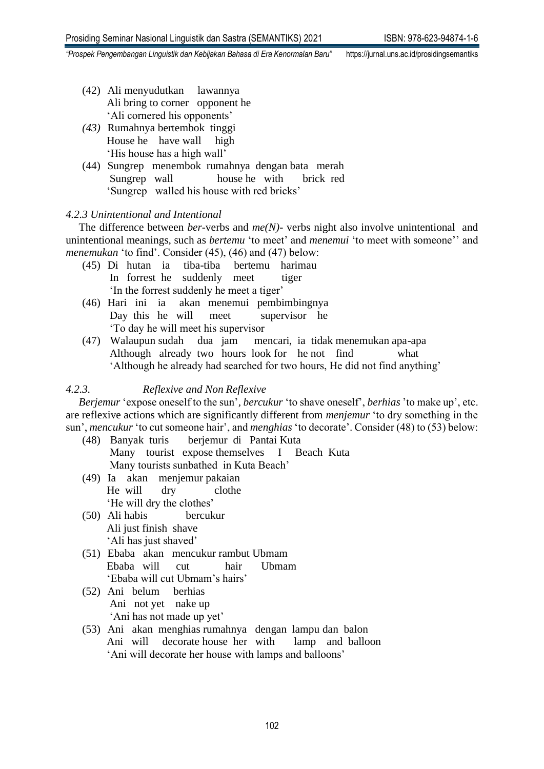- (42) Ali menyudutkan lawannya Ali bring to corner opponent he 'Ali cornered his opponents'
- *(43)* Rumahnya bertembok tinggi House he have wall high 'His house has a high wall'
- (44) Sungrep menembok rumahnya dengan bata merah Sungrep wall house he with brick red 'Sungrep walled his house with red bricks'

### *4.2.3 Unintentional and Intentional*

The difference between *ber-*verbs and *me(N)-* verbs night also involve unintentional and unintentional meanings, such as *bertemu* 'to meet' and *menemui* 'to meet with someone'' and *menemukan* 'to find'. Consider (45), (46) and (47) below:

- (45) Di hutan ia tiba-tiba bertemu harimau In forrest he suddenly meet tiger 'In the forrest suddenly he meet a tiger'
- (46) Hari ini ia akan menemui pembimbingnya Day this he will meet supervisor he 'To day he will meet his supervisor
- (47) Walaupun sudah dua jam mencari, ia tidak menemukan apa-apa Although already two hours look for he not find what 'Although he already had searched for two hours, He did not find anything'

# *4.2.3. Reflexive and Non Reflexive*

*Berjemur* 'expose oneself to the sun'*, bercukur* 'to shave oneself', *berhias* 'to make up', etc. are reflexive actions which are significantly different from *menjemur* 'to dry something in the sun', *mencukur* 'to cut someone hair', and *menghias* 'to decorate'. Consider (48) to (53) below:

- (48) Banyak turis berjemur di Pantai Kuta Many tourist expose themselves I Beach Kuta Many tourists sunbathed in Kuta Beach'
- (49) Ia akan menjemur pakaian He will dry clothe 'He will dry the clothes'
- (50) Ali habis bercukur Ali just finish shave 'Ali has just shaved'
- (51) Ebaba akan mencukur rambut Ubmam Ebaba will cut hair Ubmam 'Ebaba will cut Ubmam's hairs'
- (52) Ani belum berhias Ani not yet nake up 'Ani has not made up yet'
- (53) Ani akan menghias rumahnya dengan lampu dan balon Ani will decorate house her with lamp and balloon 'Ani will decorate her house with lamps and balloons'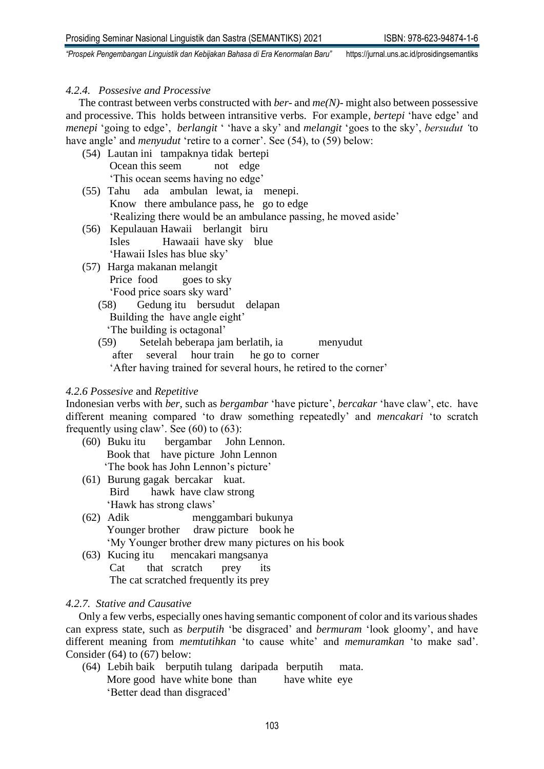### *4.2.4. Possesive and Processive*

The contrast between verbs constructed with *ber-* and *me(N)-* might also between possessive and processive. This holds between intransitive verbs. For example*, bertepi* 'have edge' and *menepi* 'going to edge', *berlangit* ' 'have a sky' and *melangit* 'goes to the sky', *bersudut '*to have angle' and *menyudut* 'retire to a corner'. See (54), to (59) below:

- (54) Lautan ini tampaknya tidak bertepi Ocean this seem not edge 'This ocean seems having no edge'
- (55) Tahu ada ambulan lewat, ia menepi. Know there ambulance pass, he go to edge 'Realizing there would be an ambulance passing, he moved aside'
- (56) Kepulauan Hawaii berlangit biru Isles Hawaaii have sky blue 'Hawaii Isles has blue sky'
- (57) Harga makanan melangit Price food goes to sky 'Food price soars sky ward'
	- (58) Gedung itu bersudut delapan Building the have angle eight' 'The building is octagonal'
	- (59) Setelah beberapa jam berlatih, ia menyudut after several hour train he go to corner 'After having trained for several hours, he retired to the corner'

### *4.2.6 Possesive* and *Repetitive*

Indonesian verbs with *ber,* such as *bergambar* 'have picture', *bercakar* 'have claw', etc. have different meaning compared 'to draw something repeatedly' and *mencakari* 'to scratch frequently using claw'. See  $(60)$  to  $(63)$ :

- (60) Buku itu bergambar John Lennon. Book that have picture John Lennon 'The book has John Lennon's picture'
- (61) Burung gagak bercakar kuat. Bird hawk have claw strong 'Hawk has strong claws'
- (62) Adik menggambari bukunya Younger brother draw picture book he 'My Younger brother drew many pictures on his book
- (63) Kucing itu mencakari mangsanya Cat that scratch prey its The cat scratched frequently its prey

### *4.2.7. Stative and Causative*

Only a few verbs, especially ones having semantic component of color and its various shades can express state, such as *berputih* 'be disgraced' and *bermuram* 'look gloomy', and have different meaning from *memtutihkan* 'to cause white' and *memuramkan* 'to make sad'. Consider (64) to (67) below:

(64) Lebih baik berputih tulang daripada berputih mata. More good have white bone than have white eye 'Better dead than disgraced'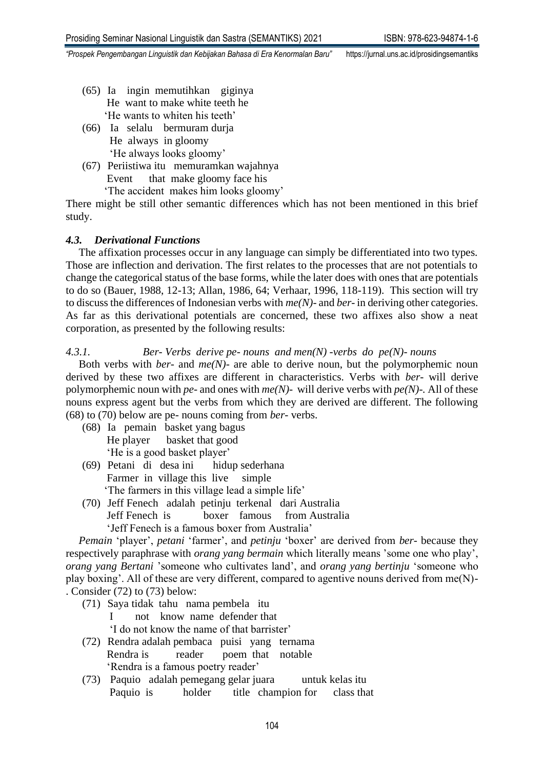- (65) Ia ingin memutihkan giginya He want to make white teeth he 'He wants to whiten his teeth'
- (66) Ia selalu bermuram durja He always in gloomy 'He always looks gloomy'
- (67) Periistiwa itu memuramkan wajahnya Event that make gloomy face his

'The accident makes him looks gloomy'

There might be still other semantic differences which has not been mentioned in this brief study.

# *4.3. Derivational Functions*

The affixation processes occur in any language can simply be differentiated into two types. Those are inflection and derivation. The first relates to the processes that are not potentials to change the categorical status of the base forms, while the later does with ones that are potentials to do so (Bauer, 1988, 12-13; Allan, 1986, 64; Verhaar, 1996, 118-119). This section will try to discuss the differences of Indonesian verbs with *me(N)-* and *ber-* in deriving other categories. As far as this derivational potentials are concerned, these two affixes also show a neat corporation, as presented by the following results:

# *4.3.1. Ber- Verbs derive pe- nouns and men(N) -verbs do pe(N)- nouns*

Both verbs with *ber-* and *me(N)-* are able to derive noun, but the polymorphemic noun derived by these two affixes are different in characteristics. Verbs with *ber-* will derive polymorphemic noun with *pe-* and ones with *me(N)-* will derive verbs with *pe(N)-.* All of these nouns express agent but the verbs from which they are derived are different. The following (68) to (70) below are pe- nouns coming from *ber-* verbs.

- (68) Ia pemain basket yang bagus He player basket that good 'He is a good basket player'
- (69) Petani di desa ini hidup sederhana Farmer in village this live simple 'The farmers in this village lead a simple life'
- (70) Jeff Fenech adalah petinju terkenal dari Australia Jeff Fenech is boxer famous from Australia 'Jeff Fenech is a famous boxer from Australia'

*Pemain* 'player', *petani* 'farmer', and *petinju* 'boxer' are derived from *ber*- because they respectively paraphrase with *orang yang bermain* which literally means 'some one who play', *orang yang Bertani* 'someone who cultivates land', and *orang yang bertinju* 'someone who play boxing'. All of these are very different, compared to agentive nouns derived from me(N)- . Consider (72) to (73) below:

(71) Saya tidak tahu nama pembela itu

 I not knownamedefender that 'I do not know the name of that barrister'

- (72) Rendra adalah pembaca puisi yang ternama Rendra is reader poem that notable 'Rendra is a famous poetry reader'
- (73) Paquio adalah pemegang gelar juara untuk kelas itu Paquio is holder title champion for class that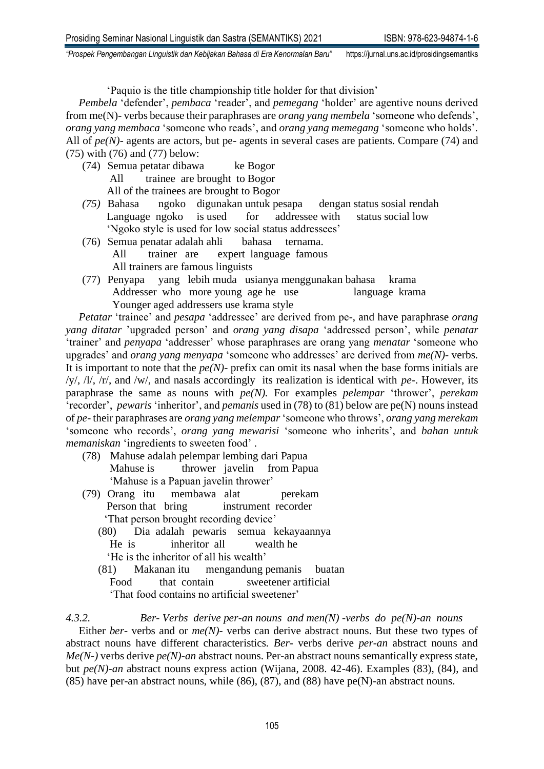'Paquio is the title championship title holder for that division'

*Pembela* 'defender', *pembaca* 'reader', and *pemegang* 'holder' are agentive nouns derived from me(N)- verbs because their paraphrases are *orang yang membela* 'someone who defends', *orang yang membaca* 'someone who reads', and *orang yang memegang* 'someone who holds'. All of *pe(N)*- agents are actors, but pe- agents in several cases are patients. Compare (74) and (75) with (76) and (77) below:

(74) Semua petatar dibawa ke Bogor All trainee are brought to Bogor

All of the trainees are brought to Bogor

- *(75)* Bahasa ngoko digunakan untuk pesapa dengan status sosial rendah Language ngoko is used for addressee with status social low 'Ngoko style is used for low social status addressees'
- (76) Semua penatar adalah ahli bahasa ternama. All trainer are expert language famous All trainers are famous linguists
- (77) Penyapa yang lebih muda usianya menggunakan bahasa krama Addresser who more young age he use language krama Younger aged addressers use krama style

*Petatar* 'trainee' and *pesapa* 'addressee' are derived from pe-, and have paraphrase *orang yang ditatar* 'upgraded person' and *orang yang disapa* 'addressed person', while *penatar* 'trainer' and *penyapa* 'addresser' whose paraphrases are orang yang *menatar* 'someone who upgrades' and *orang yang menyapa* 'someone who addresses' are derived from *me(N)-* verbs. It is important to note that the *pe(N)-* prefix can omit its nasal when the base forms initials are /y/, /l/, /r/, and /w/, and nasals accordingly its realization is identical with *pe-*. However, its paraphrase the same as nouns with *pe(N).* For examples *pelempar* 'thrower', *perekam* 'recorder', *pewaris* 'inheritor', and *pemanis* used in (78) to (81) below are pe(N) nouns instead of *pe-* their paraphrases are *orang yang melempar* 'someone who throws', *orang yang merekam* 'someone who records', *orang yang mewarisi* 'someone who inherits', and *bahan untuk memaniskan* 'ingredients to sweeten food' .

- (78) Mahuse adalah pelempar lembing dari Papua Mahuse is thrower javelin from Papua 'Mahuse is a Papuan javelin thrower'
- (79) Orang itu membawa alat perekam Person that bring instrument recorder 'That person brought recording device'
	- (80) Dia adalah pewaris semua kekayaannya He is inheritor all wealth he 'He is the inheritor of all his wealth'
	- (81) Makanan itu mengandung pemanis buatan Food that contain sweetener artificial 'That food contains no artificial sweetener'

*4.3.2. Ber- Verbs derive per-an nouns and men(N) -verbs do pe(N)-an nouns*  Either *ber-* verbs and or *me(N)-* verbs can derive abstract nouns. But these two types of abstract nouns have different characteristics*. Ber-* verbs derive *per-an* abstract nouns and *Me(N-)* verbs derive *pe(N)-an* abstract nouns. Per-an abstract nouns semantically express state, but *pe(N)-an* abstract nouns express action (Wijana, 2008. 42-46). Examples (83), (84), and (85) have per-an abstract nouns, while  $(86)$ ,  $(87)$ , and  $(88)$  have pe $(N)$ -an abstract nouns.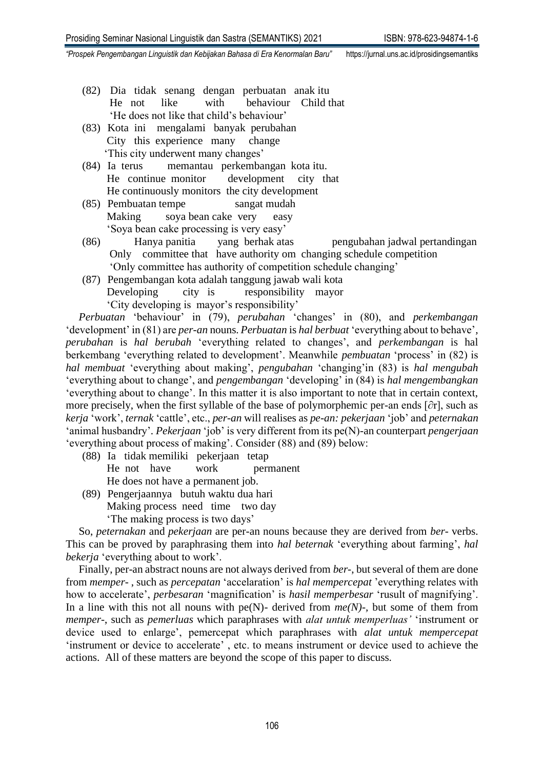- (82) Dia tidak senang dengan perbuatan anak itu He not like with behaviour Child that 'He does not like that child's behaviour'
- (83) Kota ini mengalami banyak perubahan City this experience many change 'This city underwent many changes'
- (84) Ia terus memantau perkembangan kota itu. He continue monitor development city that He continuously monitors the city development
- (85) Pembuatan tempe sangat mudah Making soya bean cake very easy 'Soya bean cake processing is very easy'
- (86) Hanya panitia yang berhak atas pengubahan jadwal pertandingan Only committee that have authority om changing schedule competition 'Only committee has authority of competition schedule changing'
- (87) Pengembangan kota adalah tanggung jawab wali kota Developing city is responsibility mayor 'City developing is mayor's responsibility'

*Perbuatan* 'behaviour' in (79), *perubahan* 'changes' in (80), and *perkembangan* 'development' in (81) are *per-an* nouns. *Perbuatan* is *hal berbuat* 'everything about to behave'*, perubahan* is *hal berubah* 'everything related to changes', and *perkembangan* is hal berkembang 'everything related to development'. Meanwhile *pembuatan* 'process' in (82) is *hal membuat* 'everything about making', *pengubahan* 'changing'in (83) is *hal mengubah* 'everything about to change', and *pengembangan* 'developing' in (84) is *hal mengembangkan* 'everything about to change'. In this matter it is also important to note that in certain context, more precisely, when the first syllable of the base of polymorphemic per-an ends [∂r], such as *kerja* 'work', *ternak* 'cattle', etc., *per-an* will realises as *pe-an: pekerjaan* 'job' and *peternakan* 'animal husbandry'*. Pekerjaan* 'job' is very different from its pe(N)-an counterpart *pengerjaan* 'everything about process of making'. Consider (88) and (89) below:

- (88) Ia tidak memiliki pekerjaan tetap He not have work **permanent** He does not have a permanent job.
- (89) Pengerjaannya butuh waktu dua hari Making process need time two day 'The making process is two days'

So, *peternakan* and *pekerjaan* are per-an nouns because they are derived from *ber-* verbs. This can be proved by paraphrasing them into *hal beternak* 'everything about farming', *hal bekerja* 'everything about to work'.

Finally, per-an abstract nouns are not always derived from *ber*-, but several of them are done from *memper-* , such as *percepatan* 'accelaration' is *hal mempercepat* 'everything relates with how to accelerate', *perbesaran* 'magnification' is *hasil memperbesar* 'rusult of magnifying'. In a line with this not all nouns with pe(N)- derived from  $me(N)$ -, but some of them from *memper-*, such as *pemerluas* which paraphrases with *alat untuk memperluas'* 'instrument or device used to enlarge', pemercepat which paraphrases with *alat untuk mempercepat* 'instrument or device to accelerate' , etc. to means instrument or device used to achieve the actions. All of these matters are beyond the scope of this paper to discuss.